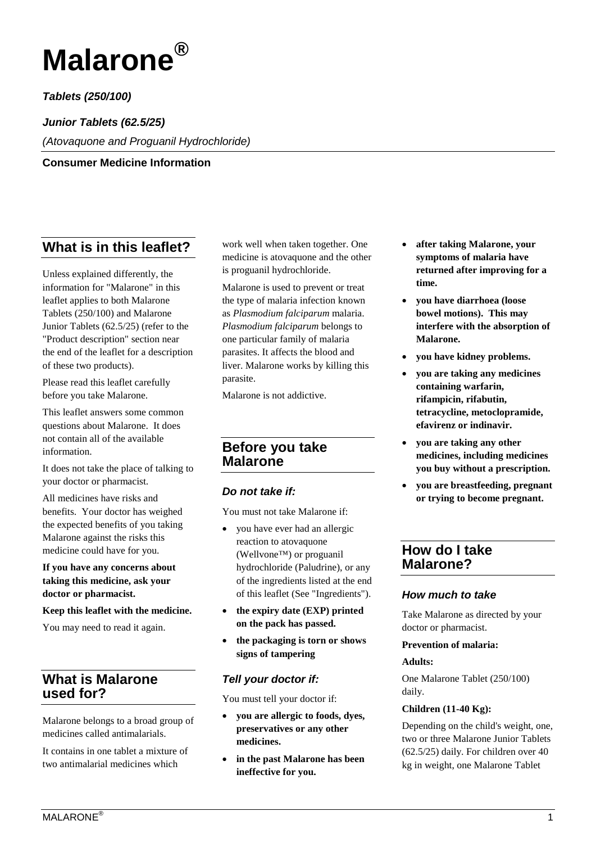

*Tablets (250/100)*

*Junior Tablets (62.5/25)*

*(Atovaquone and Proguanil Hydrochloride)*

**Consumer Medicine Information**

# **What is in this leaflet?**

Unless explained differently, the information for "Malarone" in this leaflet applies to both Malarone Tablets (250/100) and Malarone Junior Tablets (62.5/25) (refer to the "Product description" section near the end of the leaflet for a description of these two products).

Please read this leaflet carefully before you take Malarone.

This leaflet answers some common questions about Malarone. It does not contain all of the available information.

It does not take the place of talking to your doctor or pharmacist.

All medicines have risks and benefits. Your doctor has weighed the expected benefits of you taking Malarone against the risks this medicine could have for you.

#### **If you have any concerns about taking this medicine, ask your doctor or pharmacist.**

#### **Keep this leaflet with the medicine.**

You may need to read it again.

## **What is Malarone used for?**

Malarone belongs to a broad group of medicines called antimalarials.

It contains in one tablet a mixture of two antimalarial medicines which

work well when taken together. One medicine is atovaquone and the other is proguanil hydrochloride.

Malarone is used to prevent or treat the type of malaria infection known as *Plasmodium falciparum* malaria. *Plasmodium falciparum* belongs to one particular family of malaria parasites. It affects the blood and liver. Malarone works by killing this parasite.

Malarone is not addictive.

## **Before you take Malarone**

#### *Do not take if:*

You must not take Malarone if:

- you have ever had an allergic reaction to atovaquone (Wellvone™) or proguanil hydrochloride (Paludrine), or any of the ingredients listed at the end of this leaflet (See "Ingredients").
- **the expiry date (EXP) printed on the pack has passed.**
- **the packaging is torn or shows signs of tampering**

## *Tell your doctor if:*

You must tell your doctor if:

- **you are allergic to foods, dyes, preservatives or any other medicines.**
- **in the past Malarone has been ineffective for you.**
- **after taking Malarone, your symptoms of malaria have returned after improving for a time.**
- **you have diarrhoea (loose bowel motions). This may interfere with the absorption of Malarone.**
- **you have kidney problems.**
- **you are taking any medicines containing warfarin, rifampicin, rifabutin, tetracycline, metoclopramide, efavirenz or indinavir.**
- **you are taking any other medicines, including medicines you buy without a prescription.**
- **you are breastfeeding, pregnant or trying to become pregnant.**

## **How do I take Malarone?**

### *How much to take*

Take Malarone as directed by your doctor or pharmacist.

#### **Prevention of malaria:**

#### **Adults:**

One Malarone Tablet (250/100) daily.

#### **Children (11-40 Kg):**

Depending on the child's weight, one, two or three Malarone Junior Tablets (62.5/25) daily. For children over 40 kg in weight, one Malarone Tablet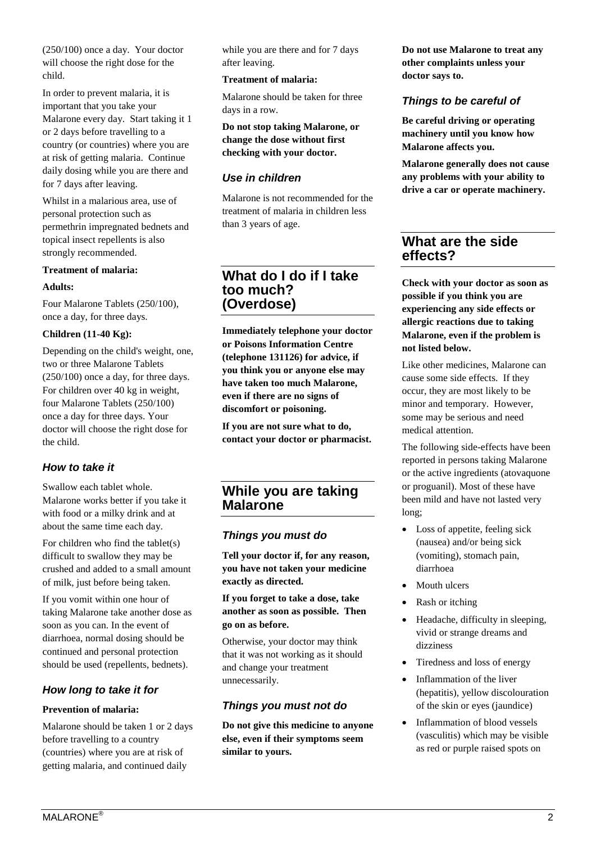(250/100) once a day. Your doctor will choose the right dose for the child.

In order to prevent malaria, it is important that you take your Malarone every day. Start taking it 1 or 2 days before travelling to a country (or countries) where you are at risk of getting malaria. Continue daily dosing while you are there and for 7 days after leaving.

Whilst in a malarious area, use of personal protection such as permethrin impregnated bednets and topical insect repellents is also strongly recommended.

#### **Treatment of malaria:**

#### **Adults:**

Four Malarone Tablets (250/100), once a day, for three days.

#### **Children (11-40 Kg):**

Depending on the child's weight, one, two or three Malarone Tablets (250/100) once a day, for three days. For children over 40 kg in weight, four Malarone Tablets (250/100) once a day for three days. Your doctor will choose the right dose for the child.

#### *How to take it*

Swallow each tablet whole. Malarone works better if you take it with food or a milky drink and at about the same time each day.

For children who find the tablet(s) difficult to swallow they may be crushed and added to a small amount of milk, just before being taken.

If you vomit within one hour of taking Malarone take another dose as soon as you can. In the event of diarrhoea, normal dosing should be continued and personal protection should be used (repellents, bednets).

### *How long to take it for*

#### **Prevention of malaria:**

Malarone should be taken 1 or 2 days before travelling to a country (countries) where you are at risk of getting malaria, and continued daily

while you are there and for 7 days after leaving.

#### **Treatment of malaria:**

Malarone should be taken for three days in a row.

**Do not stop taking Malarone, or change the dose without first checking with your doctor.**

### *Use in children*

Malarone is not recommended for the treatment of malaria in children less than 3 years of age.

### **What do I do if I take too much? (Overdose)**

**Immediately telephone your doctor or Poisons Information Centre (telephone 131126) for advice, if you think you or anyone else may have taken too much Malarone, even if there are no signs of discomfort or poisoning.**

**If you are not sure what to do, contact your doctor or pharmacist.**

## **While you are taking Malarone**

#### *Things you must do*

**Tell your doctor if, for any reason, you have not taken your medicine exactly as directed.**

**If you forget to take a dose, take another as soon as possible. Then go on as before.**

Otherwise, your doctor may think that it was not working as it should and change your treatment unnecessarily.

#### *Things you must not do*

**Do not give this medicine to anyone else, even if their symptoms seem similar to yours.**

**Do not use Malarone to treat any other complaints unless your doctor says to.**

### *Things to be careful of*

**Be careful driving or operating machinery until you know how Malarone affects you.**

**Malarone generally does not cause any problems with your ability to drive a car or operate machinery.** 

## **What are the side effects?**

**Check with your doctor as soon as possible if you think you are experiencing any side effects or allergic reactions due to taking Malarone, even if the problem is not listed below.**

Like other medicines, Malarone can cause some side effects. If they occur, they are most likely to be minor and temporary. However, some may be serious and need medical attention.

The following side-effects have been reported in persons taking Malarone or the active ingredients (atovaquone or proguanil). Most of these have been mild and have not lasted very long;

- Loss of appetite, feeling sick (nausea) and/or being sick (vomiting), stomach pain, diarrhoea
- Mouth ulcers
- Rash or itching
- Headache, difficulty in sleeping, vivid or strange dreams and dizziness
- Tiredness and loss of energy
- Inflammation of the liver (hepatitis), yellow discolouration of the skin or eyes (jaundice)
- Inflammation of blood vessels (vasculitis) which may be visible as red or purple raised spots on